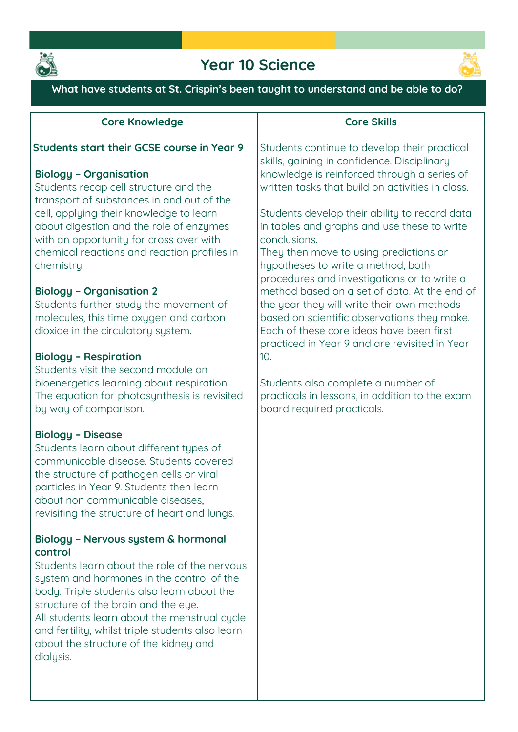

## **Year 10 Science**



**What have students at St. Crispin's been taught to understand and be able to do?**

#### **Core Knowledge**

#### **Students start their GCSE course in Year 9**

#### **Biology – Organisation**

**Students recap cell structure and the transport of substances in and out of the cell, applying their knowledge to learn about digestion and the role of enzymes with an opportunity for cross over with chemical reactions and reaction profiles in chemistry.** 

#### **Biology – Organisation 2**

**Students further study the movement of molecules, this time oxygen and carbon dioxide in the circulatory system.** 

#### **Biology – Respiration**

**Students visit the second module on bioenergetics learning about respiration. The equation for photosynthesis is revisited by way of comparison.** 

#### **Biology – Disease**

**Students learn about different types of communicable disease. Students covered the structure of pathogen cells or viral particles in Year 9. Students then learn about non communicable diseases, revisiting the structure of heart and lungs.**

#### **Biology – Nervous system & hormonal control**

**Students learn about the role of the nervous system and hormones in the control of the body. Triple students also learn about the**  structure of the brain and the eye. All students learn about the menstrual cucle **and fertility, whilst triple students also learn about the structure of the kidney and dialysis.** 

#### **Core Skills**

**Students continue to develop their practical skills, gaining in confidence. Disciplinary knowledge is reinforced through a series of written tasks that build on activities in class.** 

**Students develop their ability to record data in tables and graphs and use these to write conclusions.** 

**They then move to using predictions or hypotheses to write a method, both procedures and investigations or to write a method based on a set of data. At the end of the year they will write their own methods based on scientific observations they make. Each of these core ideas have been first practiced in Year 9 and are revisited in Year 10.**

**Students also complete a number of practicals in lessons, in addition to the exam board required practicals.**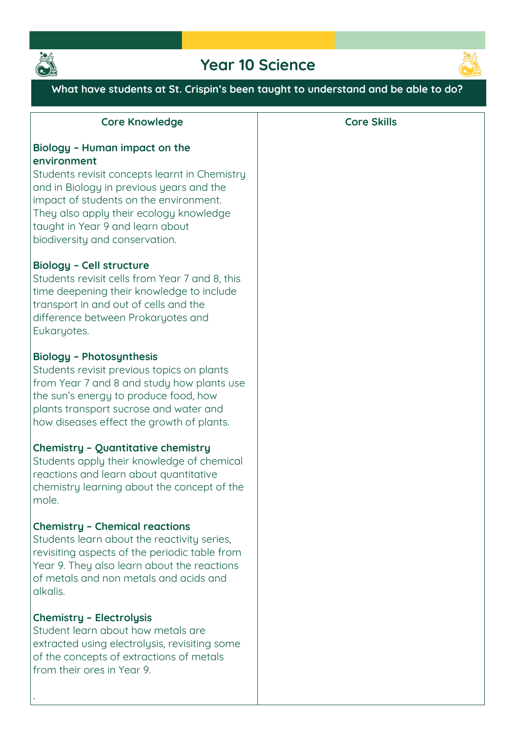

# **Year 10 Science**



**What have students at St. Crispin's been taught to understand and be able to do?**

| <b>Core Knowledge</b>                                                                                                                                                                                                                                       | <b>Core Skills</b> |
|-------------------------------------------------------------------------------------------------------------------------------------------------------------------------------------------------------------------------------------------------------------|--------------------|
| Biology - Human impact on the<br>environment<br>Students revisit concepts learnt in Chemistry<br>and in Biology in previous years and the<br>impact of students on the environment.                                                                         |                    |
| They also apply their ecology knowledge<br>taught in Year 9 and learn about<br>biodiversity and conservation.                                                                                                                                               |                    |
| <b>Biology - Cell structure</b><br>Students revisit cells from Year 7 and 8, this<br>time deepening their knowledge to include<br>transport in and out of cells and the<br>difference between Prokaryotes and<br>Eukaryotes.                                |                    |
| <b>Biology - Photosynthesis</b><br>Students revisit previous topics on plants<br>from Year 7 and 8 and study how plants use<br>the sun's energy to produce food, how<br>plants transport sucrose and water and<br>how diseases effect the growth of plants. |                    |
| <b>Chemistry - Quantitative chemistry</b><br>Students apply their knowledge of chemical<br>reactions and learn about quantitative<br>chemistry learning about the concept of the<br>mole.                                                                   |                    |
| <b>Chemistry - Chemical reactions</b><br>Students learn about the reactivity series,<br>revisiting aspects of the periodic table from<br>Year 9. They also learn about the reactions<br>of metals and non metals and acids and<br>alkalis.                  |                    |
| <b>Chemistry - Electrolysis</b><br>Student learn about how metals are<br>extracted using electrolysis, revisiting some<br>of the concepts of extractions of metals<br>from their ores in Year 9.                                                            |                    |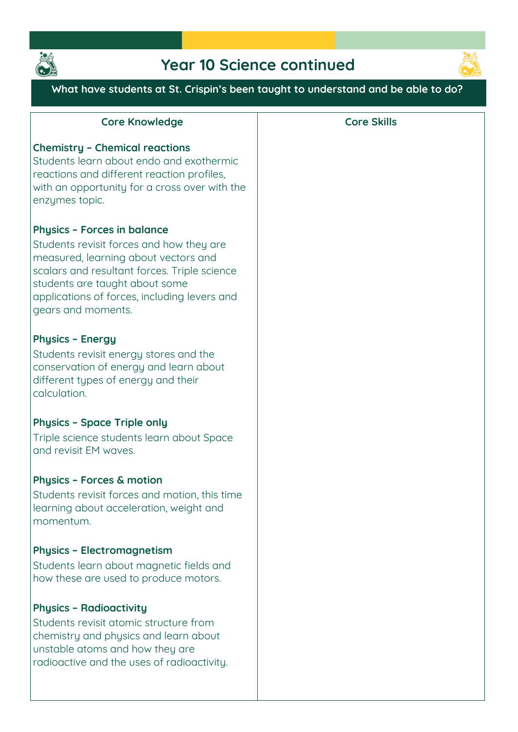

# **Year 10 Science continued**



### **What have students at St. Crispin's been taught to understand and be able to do?**

| <b>Core Knowledge</b>                                                                                                                                                                                                                                                          | <b>Core Skills</b> |
|--------------------------------------------------------------------------------------------------------------------------------------------------------------------------------------------------------------------------------------------------------------------------------|--------------------|
| <b>Chemistry - Chemical reactions</b><br>Students learn about endo and exothermic<br>reactions and different reaction profiles,<br>with an opportunity for a cross over with the<br>enzymes topic.                                                                             |                    |
| <b>Physics - Forces in balance</b><br>Students revisit forces and how they are<br>measured, learning about vectors and<br>scalars and resultant forces. Triple science<br>students are taught about some<br>applications of forces, including levers and<br>gears and moments. |                    |
| <b>Physics - Energy</b><br>Students revisit energy stores and the<br>conservation of energy and learn about<br>different types of energy and their<br>calculation.                                                                                                             |                    |
| <b>Physics - Space Triple only</b><br>Triple science students learn about Space<br>and revisit EM waves.                                                                                                                                                                       |                    |
| <b>Physics - Forces &amp; motion</b><br>Students revisit forces and motion, this time<br>learning about acceleration, weight and<br>momentum.                                                                                                                                  |                    |
| <b>Physics - Electromagnetism</b><br>Students learn about magnetic fields and<br>how these are used to produce motors.                                                                                                                                                         |                    |
| <b>Physics - Radioactivity</b><br>Students revisit atomic structure from<br>chemistry and physics and learn about<br>unstable atoms and how they are<br>radioactive and the uses of radioactivity.                                                                             |                    |